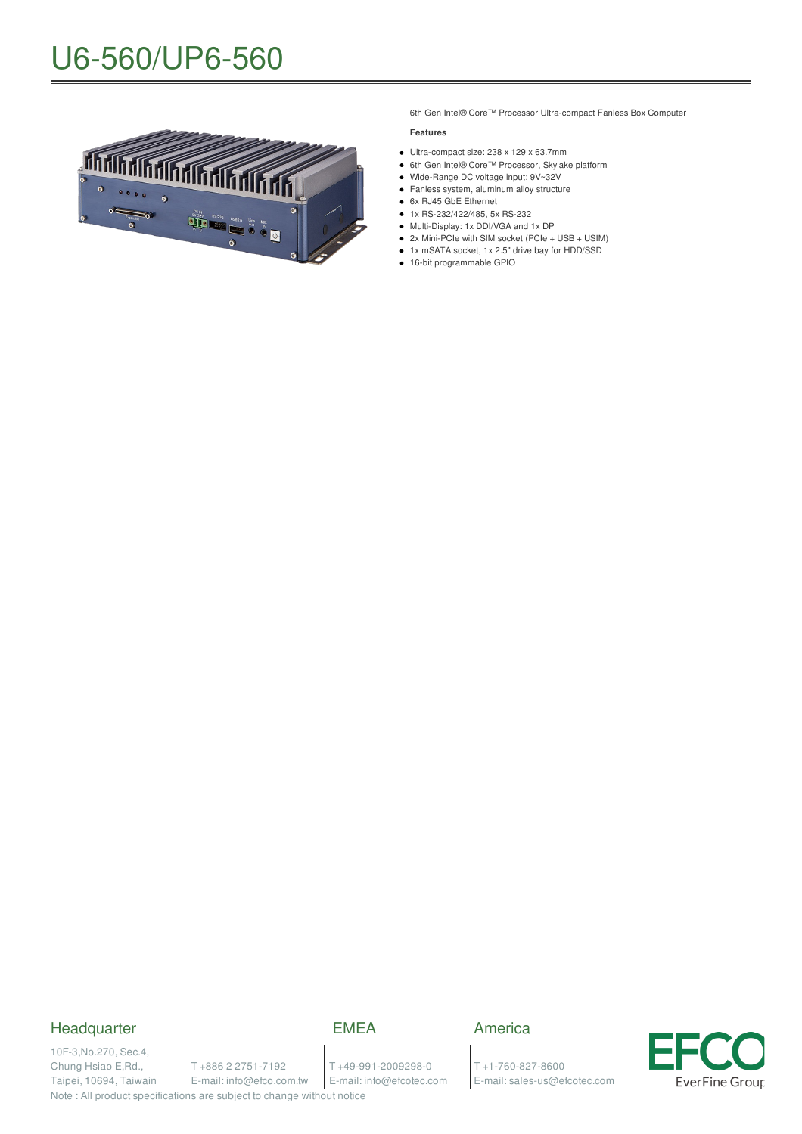# U6-560/UP6-560



6th Gen Intel® Core™ Processor Ultra-compact Fanless Box Computer

#### **Features**

- Ultra-compact size: 238 x 129 x 63.7mm
- 6th Gen Intel® Core™ Processor, Skylake platform
- Wide-Range DC voltage input: 9V~32V
- Fanless system, aluminum alloy structure
- 6x RJ45 GbE Ethernet
- 1x RS-232/422/485, 5x RS-232 Multi-Display: 1x DDI/VGA and 1x DP
- 2x Mini-PCIe with SIM socket (PCIe + USB + USIM)
- 1x mSATA socket, 1x 2.5" drive bay for HDD/SSD
- 16-bit programmable GPIO

### Headquarter

EMEA

10F-3,No.270, Sec.4, Chung Hsiao E,Rd., Taipei, 10694, Taiwain

T +886 2 2751-7192 E-mail: info@efco.com.tw

### T +49-991-2009298-0 E-mail: info@efcotec.com

T +1-760-827-8600 E-mail: sales-us@efcotec.com

America



Note : All product specifications are subject to change without notice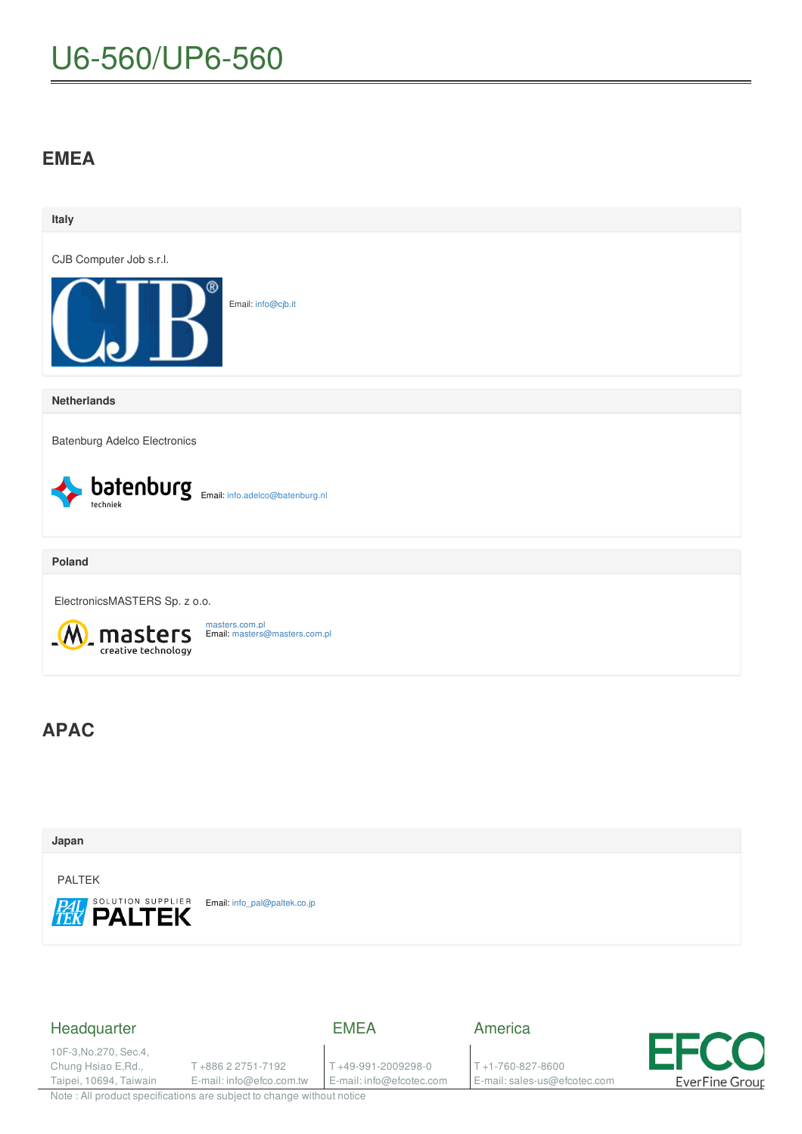# U6-560/UP6-560

## **EMEA**



## **Japan** PALTEK SOLUTION SUPPLIER Email: [info\\_pal@paltek.co.jp](mailto:info_pal@paltek.co.jp)

### Headquarter

EMEA

10F-3,No.270, Sec.4, Chung Hsiao E,Rd., Taipei, 10694, Taiwain

T +886 2 2751-7192 E-mail: info@efco.com.tw

T +49-991-2009298-0 E-mail: info@efcotec.com America

T +1-760-827-8600 E-mail: sales-us@efcotec.com



Note : All product specifications are subject to change without notice